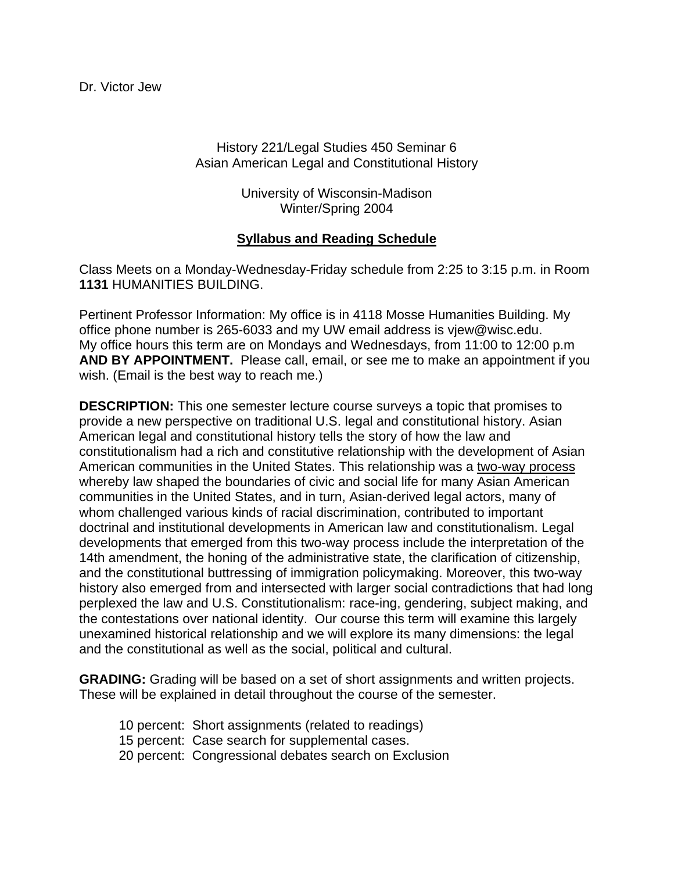# History 221/Legal Studies 450 Seminar 6 Asian American Legal and Constitutional History

University of Wisconsin-Madison Winter/Spring 2004

# **Syllabus and Reading Schedule**

Class Meets on a Monday-Wednesday-Friday schedule from 2:25 to 3:15 p.m. in Room **1131** HUMANITIES BUILDING.

Pertinent Professor Information: My office is in 4118 Mosse Humanities Building. My office phone number is 265-6033 and my UW email address is vjew@wisc.edu. My office hours this term are on Mondays and Wednesdays, from 11:00 to 12:00 p.m **AND BY APPOINTMENT.** Please call, email, or see me to make an appointment if you wish. (Email is the best way to reach me.)

**DESCRIPTION:** This one semester lecture course surveys a topic that promises to provide a new perspective on traditional U.S. legal and constitutional history. Asian American legal and constitutional history tells the story of how the law and constitutionalism had a rich and constitutive relationship with the development of Asian American communities in the United States. This relationship was a two-way process whereby law shaped the boundaries of civic and social life for many Asian American communities in the United States, and in turn, Asian-derived legal actors, many of whom challenged various kinds of racial discrimination, contributed to important doctrinal and institutional developments in American law and constitutionalism. Legal developments that emerged from this two-way process include the interpretation of the 14th amendment, the honing of the administrative state, the clarification of citizenship, and the constitutional buttressing of immigration policymaking. Moreover, this two-way history also emerged from and intersected with larger social contradictions that had long perplexed the law and U.S. Constitutionalism: race-ing, gendering, subject making, and the contestations over national identity. Our course this term will examine this largely unexamined historical relationship and we will explore its many dimensions: the legal and the constitutional as well as the social, political and cultural.

**GRADING:** Grading will be based on a set of short assignments and written projects. These will be explained in detail throughout the course of the semester.

- 10 percent: Short assignments (related to readings)
- 15 percent: Case search for supplemental cases.
- 20 percent: Congressional debates search on Exclusion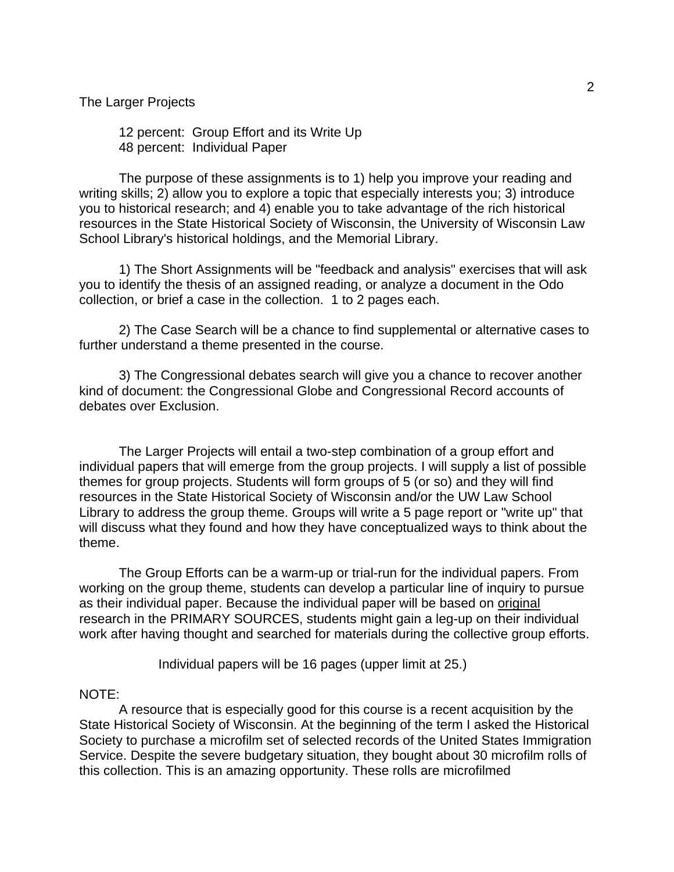#### The Larger Projects

 12 percent: Group Effort and its Write Up 48 percent: Individual Paper

 The purpose of these assignments is to 1) help you improve your reading and writing skills; 2) allow you to explore a topic that especially interests you; 3) introduce you to historical research; and 4) enable you to take advantage of the rich historical resources in the State Historical Society of Wisconsin, the University of Wisconsin Law School Library's historical holdings, and the Memorial Library.

 1) The Short Assignments will be "feedback and analysis" exercises that will ask you to identify the thesis of an assigned reading, or analyze a document in the Odo collection, or brief a case in the collection. 1 to 2 pages each.

 2) The Case Search will be a chance to find supplemental or alternative cases to further understand a theme presented in the course.

 3) The Congressional debates search will give you a chance to recover another kind of document: the Congressional Globe and Congressional Record accounts of debates over Exclusion.

 The Larger Projects will entail a two-step combination of a group effort and individual papers that will emerge from the group projects. I will supply a list of possible themes for group projects. Students will form groups of 5 (or so) and they will find resources in the State Historical Society of Wisconsin and/or the UW Law School Library to address the group theme. Groups will write a 5 page report or "write up" that will discuss what they found and how they have conceptualized ways to think about the theme.

 The Group Efforts can be a warm-up or trial-run for the individual papers. From working on the group theme, students can develop a particular line of inquiry to pursue as their individual paper. Because the individual paper will be based on original research in the PRIMARY SOURCES, students might gain a leg-up on their individual work after having thought and searched for materials during the collective group efforts.

Individual papers will be 16 pages (upper limit at 25.)

#### NOTE:

 A resource that is especially good for this course is a recent acquisition by the State Historical Society of Wisconsin. At the beginning of the term I asked the Historical Society to purchase a microfilm set of selected records of the United States Immigration Service. Despite the severe budgetary situation, they bought about 30 microfilm rolls of this collection. This is an amazing opportunity. These rolls are microfilmed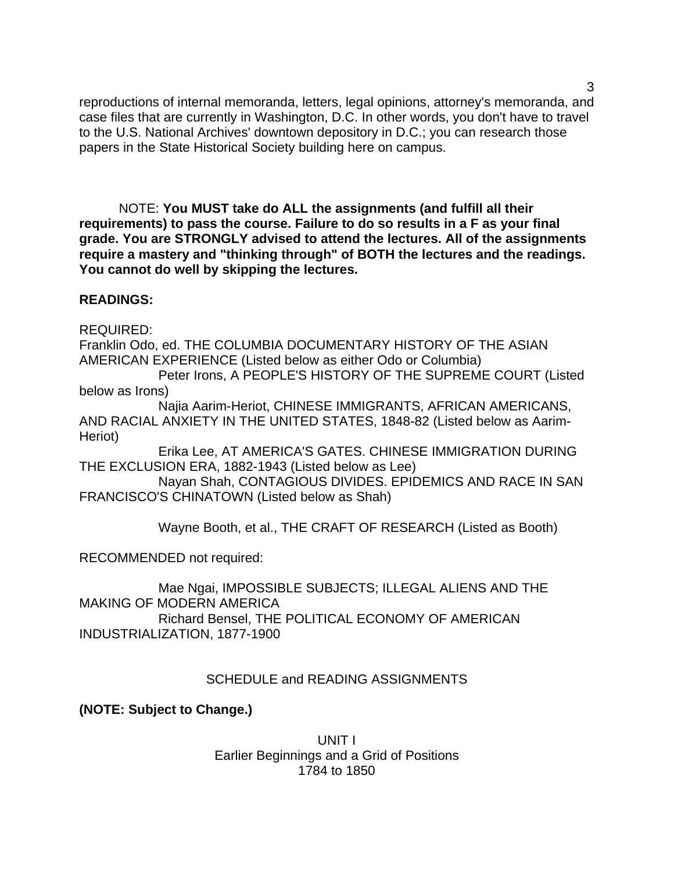reproductions of internal memoranda, letters, legal opinions, attorney's memoranda, and case files that are currently in Washington, D.C. In other words, you don't have to travel to the U.S. National Archives' downtown depository in D.C.; you can research those papers in the State Historical Society building here on campus.

 NOTE: **You MUST take do ALL the assignments (and fulfill all their requirements) to pass the course. Failure to do so results in a F as your final grade. You are STRONGLY advised to attend the lectures. All of the assignments require a mastery and "thinking through" of BOTH the lectures and the readings. You cannot do well by skipping the lectures.** 

## **READINGS:**

REQUIRED:

Franklin Odo, ed. THE COLUMBIA DOCUMENTARY HISTORY OF THE ASIAN AMERICAN EXPERIENCE (Listed below as either Odo or Columbia)

 Peter Irons, A PEOPLE'S HISTORY OF THE SUPREME COURT (Listed below as Irons)

 Najia Aarim-Heriot, CHINESE IMMIGRANTS, AFRICAN AMERICANS, AND RACIAL ANXIETY IN THE UNITED STATES, 1848-82 (Listed below as Aarim-Heriot)

 Erika Lee, AT AMERICA'S GATES. CHINESE IMMIGRATION DURING THE EXCLUSION ERA, 1882-1943 (Listed below as Lee)

 Nayan Shah, CONTAGIOUS DIVIDES. EPIDEMICS AND RACE IN SAN FRANCISCO'S CHINATOWN (Listed below as Shah)

Wayne Booth, et al., THE CRAFT OF RESEARCH (Listed as Booth)

RECOMMENDED not required:

 Mae Ngai, IMPOSSIBLE SUBJECTS; ILLEGAL ALIENS AND THE MAKING OF MODERN AMERICA Richard Bensel, THE POLITICAL ECONOMY OF AMERICAN INDUSTRIALIZATION, 1877-1900

## SCHEDULE and READING ASSIGNMENTS

**(NOTE: Subject to Change.)**

UNIT I Earlier Beginnings and a Grid of Positions 1784 to 1850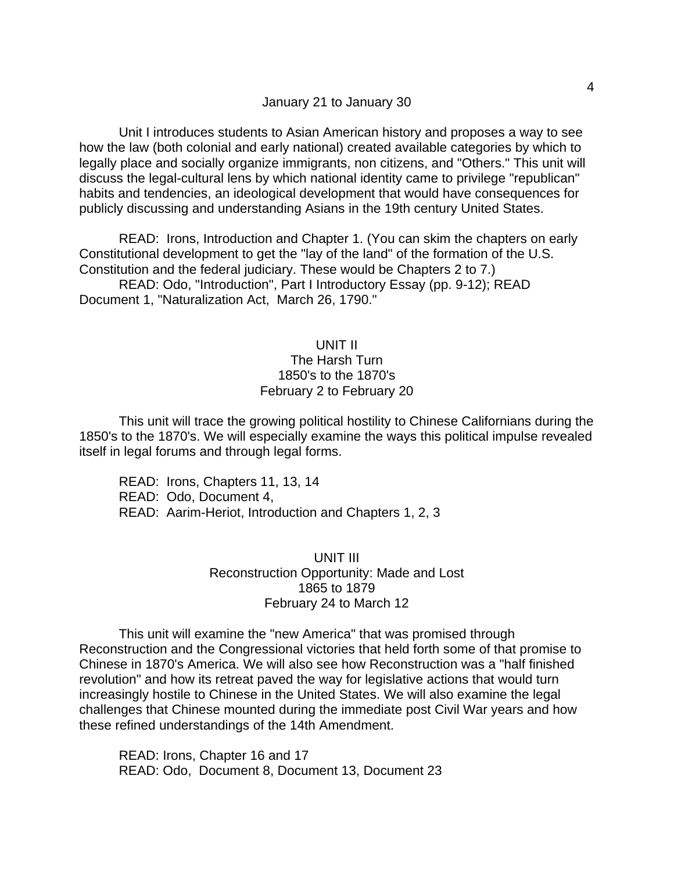### January 21 to January 30

 Unit I introduces students to Asian American history and proposes a way to see how the law (both colonial and early national) created available categories by which to legally place and socially organize immigrants, non citizens, and "Others." This unit will discuss the legal-cultural lens by which national identity came to privilege "republican" habits and tendencies, an ideological development that would have consequences for publicly discussing and understanding Asians in the 19th century United States.

 READ: Irons, Introduction and Chapter 1. (You can skim the chapters on early Constitutional development to get the "lay of the land" of the formation of the U.S. Constitution and the federal judiciary. These would be Chapters 2 to 7.)

 READ: Odo, "Introduction", Part I Introductory Essay (pp. 9-12); READ Document 1, "Naturalization Act, March 26, 1790."

## UNIT II The Harsh Turn 1850's to the 1870's February 2 to February 20

 This unit will trace the growing political hostility to Chinese Californians during the 1850's to the 1870's. We will especially examine the ways this political impulse revealed itself in legal forums and through legal forms.

 READ: Irons, Chapters 11, 13, 14 READ: Odo, Document 4, READ: Aarim-Heriot, Introduction and Chapters 1, 2, 3

### UNIT III Reconstruction Opportunity: Made and Lost 1865 to 1879 February 24 to March 12

 This unit will examine the "new America" that was promised through Reconstruction and the Congressional victories that held forth some of that promise to Chinese in 1870's America. We will also see how Reconstruction was a "half finished revolution" and how its retreat paved the way for legislative actions that would turn increasingly hostile to Chinese in the United States. We will also examine the legal challenges that Chinese mounted during the immediate post Civil War years and how these refined understandings of the 14th Amendment.

 READ: Irons, Chapter 16 and 17 READ: Odo, Document 8, Document 13, Document 23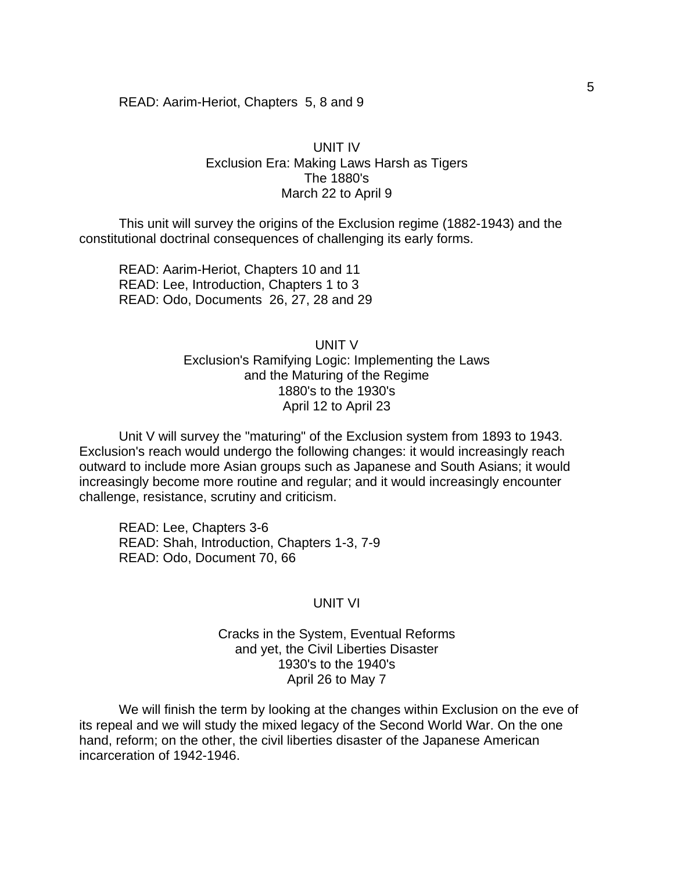#### READ: Aarim-Heriot, Chapters 5, 8 and 9

### UNIT IV Exclusion Era: Making Laws Harsh as Tigers The 1880's March 22 to April 9

 This unit will survey the origins of the Exclusion regime (1882-1943) and the constitutional doctrinal consequences of challenging its early forms.

 READ: Aarim-Heriot, Chapters 10 and 11 READ: Lee, Introduction, Chapters 1 to 3 READ: Odo, Documents 26, 27, 28 and 29

> UNIT V Exclusion's Ramifying Logic: Implementing the Laws and the Maturing of the Regime 1880's to the 1930's April 12 to April 23

 Unit V will survey the "maturing" of the Exclusion system from 1893 to 1943. Exclusion's reach would undergo the following changes: it would increasingly reach outward to include more Asian groups such as Japanese and South Asians; it would increasingly become more routine and regular; and it would increasingly encounter challenge, resistance, scrutiny and criticism.

 READ: Lee, Chapters 3-6 READ: Shah, Introduction, Chapters 1-3, 7-9 READ: Odo, Document 70, 66

### UNIT VI

Cracks in the System, Eventual Reforms and yet, the Civil Liberties Disaster 1930's to the 1940's April 26 to May 7

 We will finish the term by looking at the changes within Exclusion on the eve of its repeal and we will study the mixed legacy of the Second World War. On the one hand, reform; on the other, the civil liberties disaster of the Japanese American incarceration of 1942-1946.